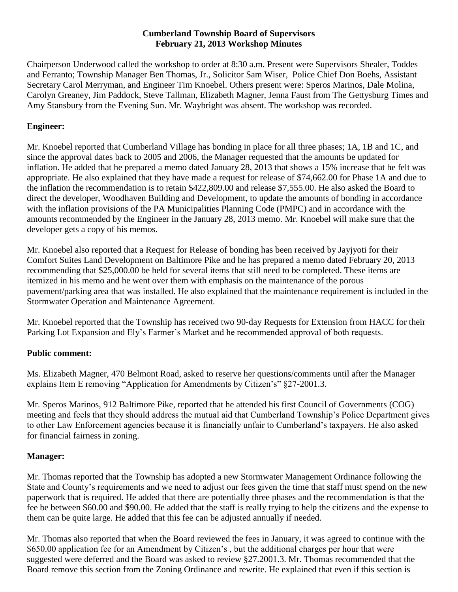### **Cumberland Township Board of Supervisors February 21, 2013 Workshop Minutes**

Chairperson Underwood called the workshop to order at 8:30 a.m. Present were Supervisors Shealer, Toddes and Ferranto; Township Manager Ben Thomas, Jr., Solicitor Sam Wiser, Police Chief Don Boehs, Assistant Secretary Carol Merryman, and Engineer Tim Knoebel. Others present were: Speros Marinos, Dale Molina, Carolyn Greaney, Jim Paddock, Steve Tallman, Elizabeth Magner, Jenna Faust from The Gettysburg Times and Amy Stansbury from the Evening Sun. Mr. Waybright was absent. The workshop was recorded.

# **Engineer:**

Mr. Knoebel reported that Cumberland Village has bonding in place for all three phases; 1A, 1B and 1C, and since the approval dates back to 2005 and 2006, the Manager requested that the amounts be updated for inflation. He added that he prepared a memo dated January 28, 2013 that shows a 15% increase that he felt was appropriate. He also explained that they have made a request for release of \$74,662.00 for Phase 1A and due to the inflation the recommendation is to retain \$422,809.00 and release \$7,555.00. He also asked the Board to direct the developer, Woodhaven Building and Development, to update the amounts of bonding in accordance with the inflation provisions of the PA Municipalities Planning Code (PMPC) and in accordance with the amounts recommended by the Engineer in the January 28, 2013 memo. Mr. Knoebel will make sure that the developer gets a copy of his memos.

Mr. Knoebel also reported that a Request for Release of bonding has been received by Jayjyoti for their Comfort Suites Land Development on Baltimore Pike and he has prepared a memo dated February 20, 2013 recommending that \$25,000.00 be held for several items that still need to be completed. These items are itemized in his memo and he went over them with emphasis on the maintenance of the porous pavement/parking area that was installed. He also explained that the maintenance requirement is included in the Stormwater Operation and Maintenance Agreement.

Mr. Knoebel reported that the Township has received two 90-day Requests for Extension from HACC for their Parking Lot Expansion and Ely's Farmer's Market and he recommended approval of both requests.

#### **Public comment:**

Ms. Elizabeth Magner, 470 Belmont Road, asked to reserve her questions/comments until after the Manager explains Item E removing "Application for Amendments by Citizen's" §27-2001.3.

Mr. Speros Marinos, 912 Baltimore Pike, reported that he attended his first Council of Governments (COG) meeting and feels that they should address the mutual aid that Cumberland Township's Police Department gives to other Law Enforcement agencies because it is financially unfair to Cumberland's taxpayers. He also asked for financial fairness in zoning.

#### **Manager:**

Mr. Thomas reported that the Township has adopted a new Stormwater Management Ordinance following the State and County's requirements and we need to adjust our fees given the time that staff must spend on the new paperwork that is required. He added that there are potentially three phases and the recommendation is that the fee be between \$60.00 and \$90.00. He added that the staff is really trying to help the citizens and the expense to them can be quite large. He added that this fee can be adjusted annually if needed.

Mr. Thomas also reported that when the Board reviewed the fees in January, it was agreed to continue with the \$650.00 application fee for an Amendment by Citizen's , but the additional charges per hour that were suggested were deferred and the Board was asked to review §27.2001.3. Mr. Thomas recommended that the Board remove this section from the Zoning Ordinance and rewrite. He explained that even if this section is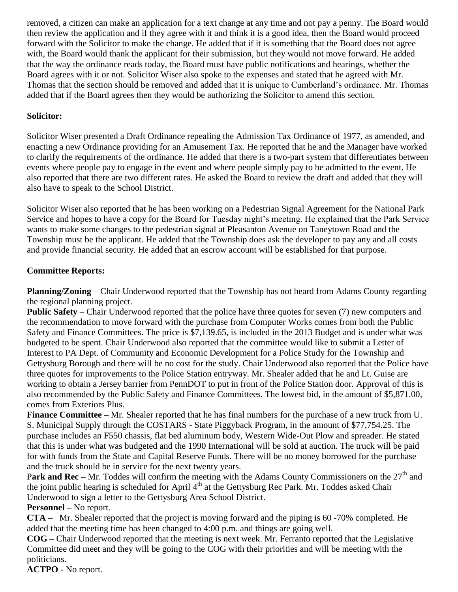removed, a citizen can make an application for a text change at any time and not pay a penny. The Board would then review the application and if they agree with it and think it is a good idea, then the Board would proceed forward with the Solicitor to make the change. He added that if it is something that the Board does not agree with, the Board would thank the applicant for their submission, but they would not move forward. He added that the way the ordinance reads today, the Board must have public notifications and hearings, whether the Board agrees with it or not. Solicitor Wiser also spoke to the expenses and stated that he agreed with Mr. Thomas that the section should be removed and added that it is unique to Cumberland's ordinance. Mr. Thomas added that if the Board agrees then they would be authorizing the Solicitor to amend this section.

## **Solicitor:**

Solicitor Wiser presented a Draft Ordinance repealing the Admission Tax Ordinance of 1977, as amended, and enacting a new Ordinance providing for an Amusement Tax. He reported that he and the Manager have worked to clarify the requirements of the ordinance. He added that there is a two-part system that differentiates between events where people pay to engage in the event and where people simply pay to be admitted to the event. He also reported that there are two different rates. He asked the Board to review the draft and added that they will also have to speak to the School District.

Solicitor Wiser also reported that he has been working on a Pedestrian Signal Agreement for the National Park Service and hopes to have a copy for the Board for Tuesday night's meeting. He explained that the Park Service wants to make some changes to the pedestrian signal at Pleasanton Avenue on Taneytown Road and the Township must be the applicant. He added that the Township does ask the developer to pay any and all costs and provide financial security. He added that an escrow account will be established for that purpose.

## **Committee Reports:**

**Planning/Zoning** – Chair Underwood reported that the Township has not heard from Adams County regarding the regional planning project.

**Public Safety** – Chair Underwood reported that the police have three quotes for seven (7) new computers and the recommendation to move forward with the purchase from Computer Works comes from both the Public Safety and Finance Committees. The price is \$7,139.65, is included in the 2013 Budget and is under what was budgeted to be spent. Chair Underwood also reported that the committee would like to submit a Letter of Interest to PA Dept. of Community and Economic Development for a Police Study for the Township and Gettysburg Borough and there will be no cost for the study. Chair Underwood also reported that the Police have three quotes for improvements to the Police Station entryway. Mr. Shealer added that he and Lt. Guise are working to obtain a Jersey barrier from PennDOT to put in front of the Police Station door. Approval of this is also recommended by the Public Safety and Finance Committees. The lowest bid, in the amount of \$5,871.00, comes from Exteriors Plus.

**Finance Committee –** Mr. Shealer reported that he has final numbers for the purchase of a new truck from U. S. Municipal Supply through the COSTARS - State Piggyback Program, in the amount of \$77,754.25. The purchase includes an F550 chassis, flat bed aluminum body, Western Wide-Out Plow and spreader. He stated that this is under what was budgeted and the 1990 International will be sold at auction. The truck will be paid for with funds from the State and Capital Reserve Funds. There will be no money borrowed for the purchase and the truck should be in service for the next twenty years.

Park and Rec – Mr. Toddes will confirm the meeting with the Adams County Commissioners on the 27<sup>th</sup> and the joint public hearing is scheduled for April  $4<sup>th</sup>$  at the Gettysburg Rec Park. Mr. Toddes asked Chair Underwood to sign a letter to the Gettysburg Area School District.

**Personnel –** No report.

**CTA –** Mr. Shealer reported that the project is moving forward and the piping is 60 -70% completed. He added that the meeting time has been changed to 4:00 p.m. and things are going well.

**COG –** Chair Underwood reported that the meeting is next week. Mr. Ferranto reported that the Legislative Committee did meet and they will be going to the COG with their priorities and will be meeting with the politicians.

**ACTPO** - No report.